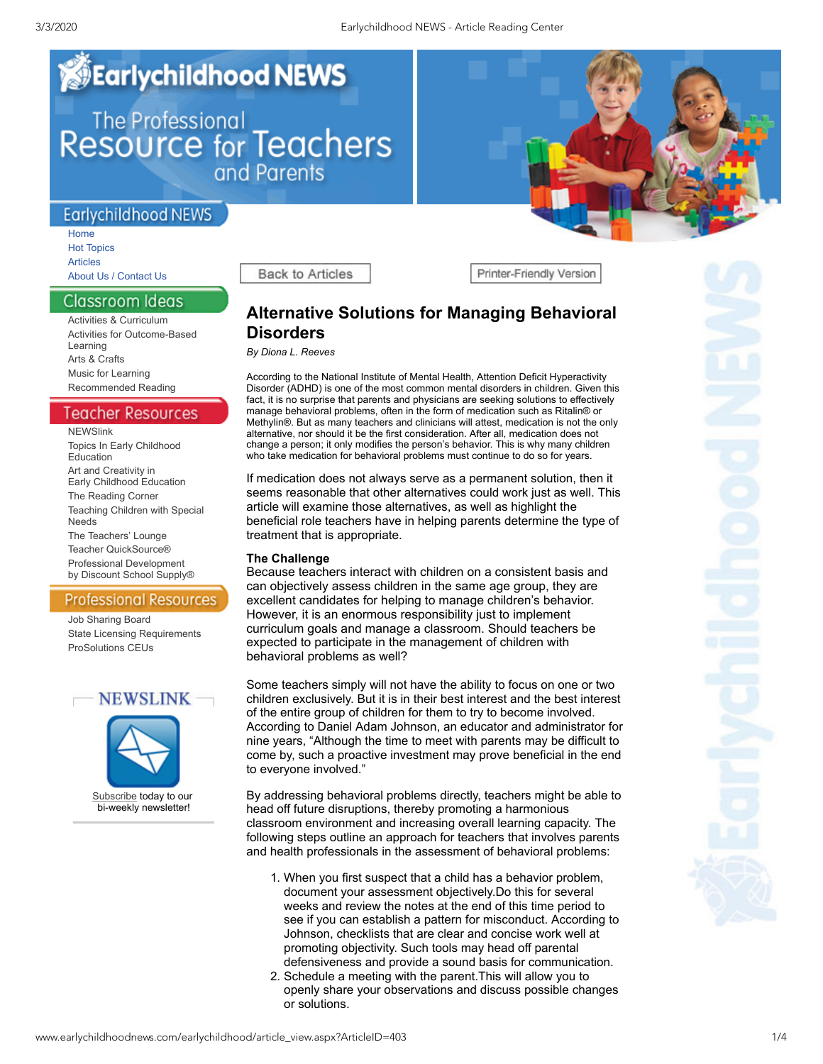# **Earlychildhood NEWS** The Professional<br>Resource for Teachers<br>and Parents

## **Earlychildhood NEWS**

[Home](http://www.earlychildhoodnews.com/default.aspx) Hot [Topics](http://www.earlychildhoodnews.com/featured.aspx) [Articles](http://www.earlychildhoodnews.com/page2.aspx) About Us / [Contact](http://www.earlychildhoodnews.com/earlychildhood/contact.aspx) Us

Classroom Ideas

Activities & [Curriculum](http://www.earlychildhoodnews.com/curriculum.aspx) Activities for [Outcome-Based](http://www.teacherquicksource.com/) Learning Arts & [Crafts](http://www.earlychildhoodnews.com/page7.aspx) Music for [Learning](http://www.earlychildhoodnews.com/media.aspx) [Recommended](http://www.earlychildhoodnews.com/reviews.aspx) Reading

Teacher Resources

**[NEWSlink](http://www.earlychildhoodnews.com/earlychildhood/teacher_resources/newslink.aspx)** Topics In Early [Childhood](http://eceducationblog.wordpress.com/) Education Art and Creativity in Early [Childhood](http://annareyner.wordpress.com/) Education The [Reading](http://astrugglingreader.wordpress.com/) Corner [Teaching](http://achievementproducts.wordpress.com/) Children with Special Needs The [Teachers'](http://www.blog.discountschoolsupply.com/) Lounge Teacher [QuickSource®](http://www.teacherquicksource.com/) Professional [Development](http://www.discountschoolsupply.com/community/DevelopmentArea.aspx?contentid=103§ionid=1) by Discount School Supply®

## **Professional Resources**

Job [Sharing](http://www.earlychildhoodnews.com/professional_resources/JobBoard.aspx?StateId=CA) Board State Licensing [Requirements](http://www.earlychildhoodnews.com/professional_resources/licensing_display.aspx?StateId=CA) [ProSolutions](http://www.earlychildhoodnews.com/professional_resources/licensing.aspx) CEUs



**Back to Articles** 

Printer-Friendly Version

# **Alternative Solutions for Managing Behavioral Disorders**

*By Diona L. Reeves*

According to the National Institute of Mental Health, Attention Deficit Hyperactivity Disorder (ADHD) is one of the most common mental disorders in children. Given this fact, it is no surprise that parents and physicians are seeking solutions to effectively manage behavioral problems, often in the form of medication such as Ritalin® or Methylin®. But as many teachers and clinicians will attest, medication is not the only alternative, nor should it be the first consideration. After all, medication does not change a person; it only modifies the person's behavior. This is why many children who take medication for behavioral problems must continue to do so for years.

If medication does not always serve as a permanent solution, then it seems reasonable that other alternatives could work just as well. This article will examine those alternatives, as well as highlight the beneficial role teachers have in helping parents determine the type of treatment that is appropriate.

### **The Challenge**

Because teachers interact with children on a consistent basis and can objectively assess children in the same age group, they are excellent candidates for helping to manage children's behavior. However, it is an enormous responsibility just to implement curriculum goals and manage a classroom. Should teachers be expected to participate in the management of children with behavioral problems as well?

Some teachers simply will not have the ability to focus on one or two children exclusively. But it is in their best interest and the best interest of the entire group of children for them to try to become involved. According to Daniel Adam Johnson, an educator and administrator for nine years, "Although the time to meet with parents may be difficult to come by, such a proactive investment may prove beneficial in the end to everyone involved."

By addressing behavioral problems directly, teachers might be able to head off future disruptions, thereby promoting a harmonious classroom environment and increasing overall learning capacity. The following steps outline an approach for teachers that involves parents and health professionals in the assessment of behavioral problems:

- 1. When you first suspect that a child has a behavior problem, document your assessment objectively.Do this for several weeks and review the notes at the end of this time period to see if you can establish a pattern for misconduct. According to Johnson, checklists that are clear and concise work well at promoting objectivity. Such tools may head off parental defensiveness and provide a sound basis for communication.
- 2. Schedule a meeting with the parent.This will allow you to openly share your observations and discuss possible changes or solutions.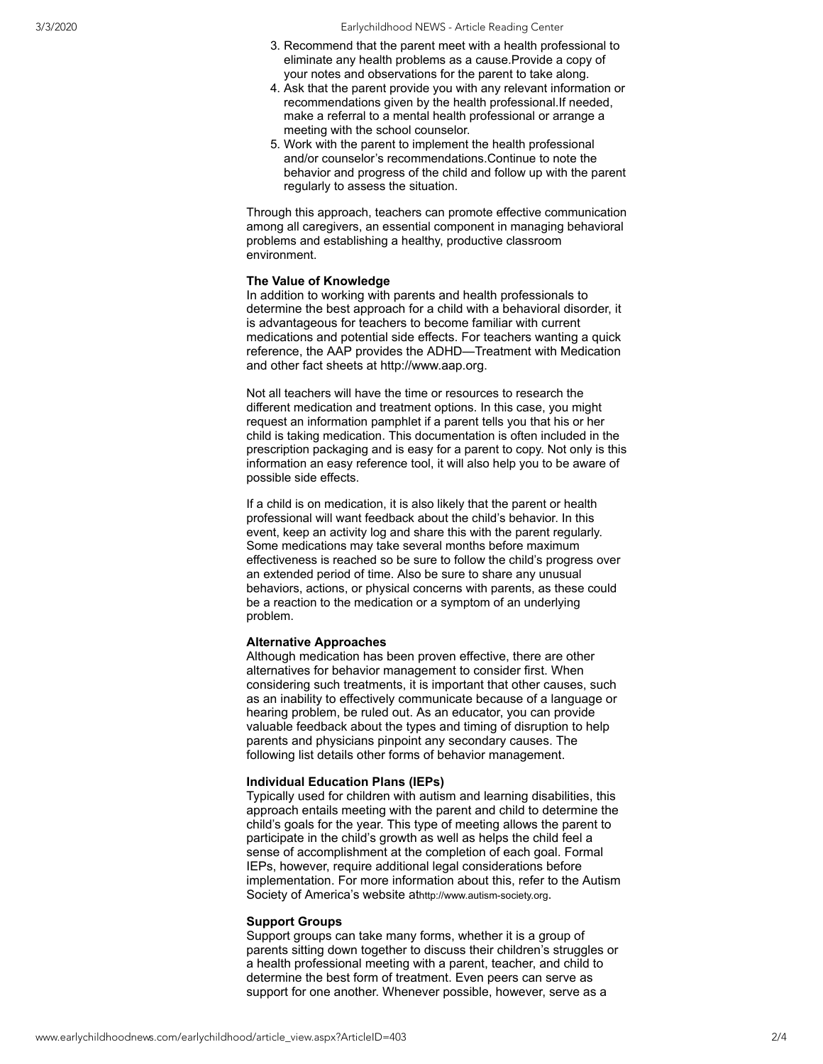- 3. Recommend that the parent meet with a health professional to eliminate any health problems as a cause.Provide a copy of your notes and observations for the parent to take along.
- 4. Ask that the parent provide you with any relevant information or recommendations given by the health professional.If needed, make a referral to a mental health professional or arrange a meeting with the school counselor.
- 5. Work with the parent to implement the health professional and/or counselor's recommendations.Continue to note the behavior and progress of the child and follow up with the parent regularly to assess the situation.

Through this approach, teachers can promote effective communication among all caregivers, an essential component in managing behavioral problems and establishing a healthy, productive classroom environment.

#### **The Value of Knowledge**

In addition to working with parents and health professionals to determine the best approach for a child with a behavioral disorder, it is advantageous for teachers to become familiar with current medications and potential side effects. For teachers wanting a quick reference, the AAP provides the ADHD—Treatment with Medication and other fact sheets at [http://www.aap.org](http://www.aap.org/).

Not all teachers will have the time or resources to research the different medication and treatment options. In this case, you might request an information pamphlet if a parent tells you that his or her child is taking medication. This documentation is often included in the prescription packaging and is easy for a parent to copy. Not only is this information an easy reference tool, it will also help you to be aware of possible side effects.

If a child is on medication, it is also likely that the parent or health professional will want feedback about the child's behavior. In this event, keep an activity log and share this with the parent regularly. Some medications may take several months before maximum effectiveness is reached so be sure to follow the child's progress over an extended period of time. Also be sure to share any unusual behaviors, actions, or physical concerns with parents, as these could be a reaction to the medication or a symptom of an underlying problem.

#### **Alternative Approaches**

Although medication has been proven effective, there are other alternatives for behavior management to consider first. When considering such treatments, it is important that other causes, such as an inability to effectively communicate because of a language or hearing problem, be ruled out. As an educator, you can provide valuable feedback about the types and timing of disruption to help parents and physicians pinpoint any secondary causes. The following list details other forms of behavior management.

#### **Individual Education Plans (IEPs)**

Typically used for children with autism and learning disabilities, this approach entails meeting with the parent and child to determine the child's goals for the year. This type of meeting allows the parent to participate in the child's growth as well as helps the child feel a sense of accomplishment at the completion of each goal. Formal IEPs, however, require additional legal considerations before implementation. For more information about this, refer to the Autism Society of America's website at[http://www.autism-society.org](http://www.autism-society.org/).

#### **Support Groups**

Support groups can take many forms, whether it is a group of parents sitting down together to discuss their children's struggles or a health professional meeting with a parent, teacher, and child to determine the best form of treatment. Even peers can serve as support for one another. Whenever possible, however, serve as a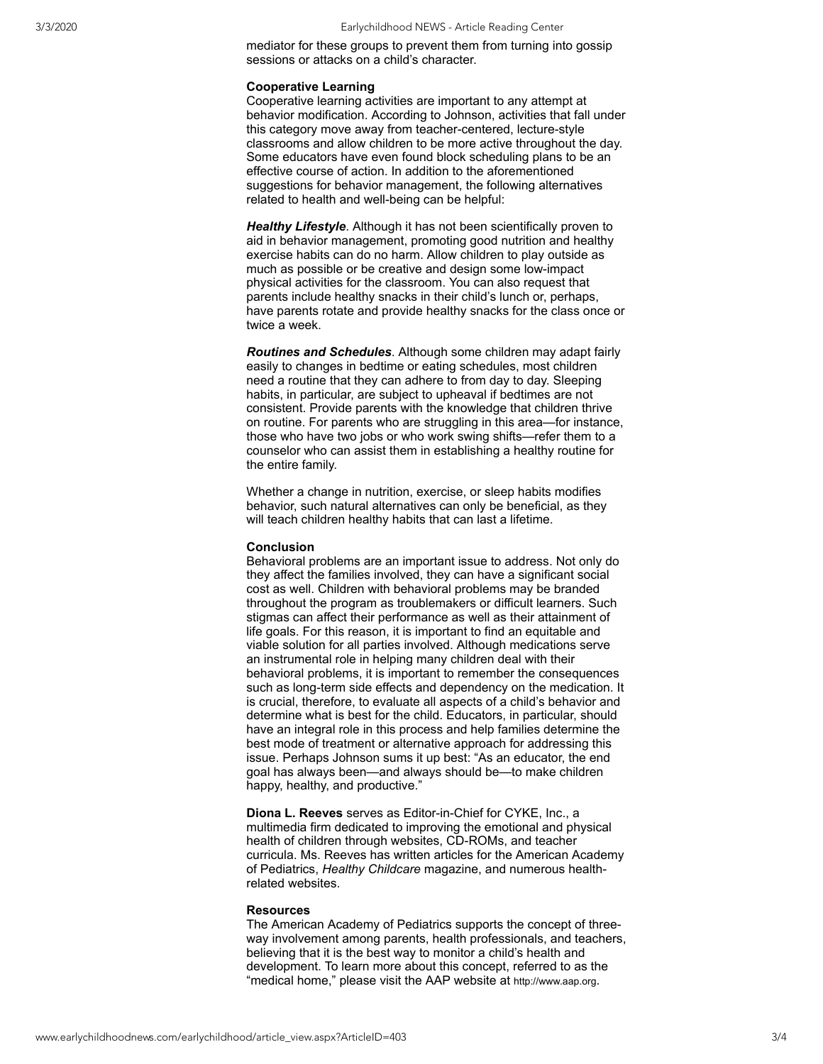mediator for these groups to prevent them from turning into gossip sessions or attacks on a child's character.

#### **Cooperative Learning**

Cooperative learning activities are important to any attempt at behavior modification. According to Johnson, activities that fall under this category move away from teacher-centered, lecture-style classrooms and allow children to be more active throughout the day. Some educators have even found block scheduling plans to be an effective course of action. In addition to the aforementioned suggestions for behavior management, the following alternatives related to health and well-being can be helpful:

*Healthy Lifestyle*. Although it has not been scientifically proven to aid in behavior management, promoting good nutrition and healthy exercise habits can do no harm. Allow children to play outside as much as possible or be creative and design some low-impact physical activities for the classroom. You can also request that parents include healthy snacks in their child's lunch or, perhaps, have parents rotate and provide healthy snacks for the class once or twice a week.

*Routines and Schedules*. Although some children may adapt fairly easily to changes in bedtime or eating schedules, most children need a routine that they can adhere to from day to day. Sleeping habits, in particular, are subject to upheaval if bedtimes are not consistent. Provide parents with the knowledge that children thrive on routine. For parents who are struggling in this area—for instance, those who have two jobs or who work swing shifts—refer them to a counselor who can assist them in establishing a healthy routine for the entire family.

Whether a change in nutrition, exercise, or sleep habits modifies behavior, such natural alternatives can only be beneficial, as they will teach children healthy habits that can last a lifetime.

#### **Conclusion**

Behavioral problems are an important issue to address. Not only do they affect the families involved, they can have a significant social cost as well. Children with behavioral problems may be branded throughout the program as troublemakers or difficult learners. Such stigmas can affect their performance as well as their attainment of life goals. For this reason, it is important to find an equitable and viable solution for all parties involved. Although medications serve an instrumental role in helping many children deal with their behavioral problems, it is important to remember the consequences such as long-term side effects and dependency on the medication. It is crucial, therefore, to evaluate all aspects of a child's behavior and determine what is best for the child. Educators, in particular, should have an integral role in this process and help families determine the best mode of treatment or alternative approach for addressing this issue. Perhaps Johnson sums it up best: "As an educator, the end goal has always been—and always should be—to make children happy, healthy, and productive."

**Diona L. Reeves** serves as Editor-in-Chief for CYKE, Inc., a multimedia firm dedicated to improving the emotional and physical health of children through websites, CD-ROMs, and teacher curricula. Ms. Reeves has written articles for the American Academy of Pediatrics, *Healthy Childcare* magazine, and numerous healthrelated websites.

#### **Resources**

The American Academy of Pediatrics supports the concept of threeway involvement among parents, health professionals, and teachers, believing that it is the best way to monitor a child's health and development. To learn more about this concept, referred to as the "medical home," please visit the AAP website at [http://www.aap.org](http://www.aap.org/).